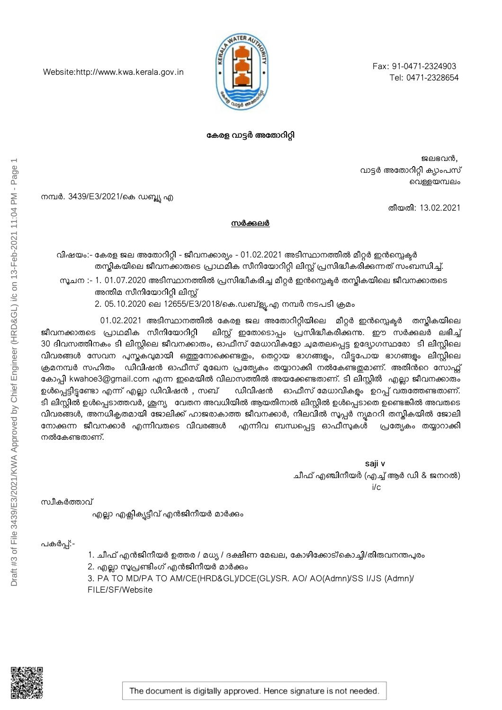Fax: 91-0471-2324903 Tel: 0471-2328654



കേരള വാട്ടർ അതോറിറ്റി

ജലഭവൻ, വാട്ടർ അതോറിറ്റി ക്യാംപസ് വെള്ളയമ്പലം

തീയതി: 13.02.2021

നമ്പർ. 3439/E3/2021/കെ ഡബ്ല്യൂ എ

Website:http://www.kwa.kerala.gov.in

## സർക്കലർ

വിഷയം:- കേരള ജല അതോറിറ്റി - ജീവനക്കാര്യം - 01.02.2021 അടിസ്ഥാനത്തിൽ മീറ്റർ ഇൻസ്പെക്ടർ തസ്കികയിലെ ജീവനക്കാരുടെ പ്രാഥമിക സീനിയോറിറ്റി ലിസ്റ്റ് പ്രസിദ്ധീകരിക്കുന്നത് സംബന്ധിച്ച്.

- സൂചന :- 1. 01.07.2020 അടിസ്ഥാനത്തിൽ പ്രസിദ്ധീകരിച്ച മീറ്റർ ഇൻസ്പെകൂർ തസ്കികയിലെ ജീവനക്കാരുടെ അന്തിമ സീനിയോറിറ്റി ലിസ്റ്റ്
	- 2. 05.10.2020 ലെ 12655/E3/2018/കെ.ഡബ്ള്യു.എ നമ്പർ നടപടി ക്രമം

01.02.2021 അടിസ്ഥാനത്തിൽ കേരള ജല അതോറിറ്റിയിലെ മീറ്റർ ഇൻസ്പെക്ടർ തസ്തികയിലെ<br>ജീവനക്കാരുടെ പ്രാഥമിക സീനിയോറിറ്റി ലിസ്റ്റ് ഇതോടൊപ്പം പ്രസിദ്ധീകരിക്കുന്നു. ഈ സർക്കലർ ലഭിച്ച് .<br>ലിസ്റ്റ് ഇതോടൊപ്പം പ്രസിദ്ധീകരിക്കന്ന. ഈ സർക്കലർ ലഭിച്ച് 30 ദിവസത്തിനകം ടി ലിസ്റ്റിലെ ജീവനക്കാരും, ഓഫീസ് മേധാവികളോ ചുമതലപ്പെട്ട ഉദ്യോഗസ്ഥരോ ടി ലിസ്റ്റിലെ വിവരങ്ങൾ സേവന പുസ്തകവുമായി ഒത്തുനോക്കെണ്ടതും, തെറ്റായ ഭാഗങ്ങളം, വിട്ടപോയ ഭാഗങ്ങളം ലിസ്റ്റിലെ ക്രമനമ്പര സഹിതം ഡിവിഷൻ ഓഫീസ മുഖേന പ്രത്യേകം തയ്യാറാക്കി നൽകേണ്ടതുമാണ. അതിനുറെ സോഫ്റ്റ കോപ്പി kwahoe3@gmail.com എന്ന ഇമെയിൽ വിലാസത്തിൽ അയക്കേണ്ടതാണ്. ടി ലിസ്റ്റിൽ എല്ലാ ജീവനക്കാരും<br>ഉൾപ്പെട്ടിട്ടണ്ടോ എന്ന് എല്ലാ ഡിവിഷൻ , സബ് ഡിവിഷൻ ഓഫീസ് മേധാവികളും ഉറപ്പ് വതത്തേണ്ടതാണ്. ഡിവിഷൻ ഓഫീസ് മേധാവികളം ഉറപ്പ് വരുത്തേണ്ടതാണ്. ടി ലിസ്റ്റിൽ ഉൾപ്പെടാത്തവർ, ശൂന്യ വേതന അവധിയിൽ ആയതിനാൽ ലിസ്റ്റിൽ ഉൾപ്പെടാതെ ഉണ്ടെങ്കിൽ അവരുടെ വിവരങ്ങൾ, അനധികൃതമായി ജോലിക്ക് ഹാജരാകാത്ത ജീവനക്കാർ, നിലവിൽ സൂപ്പർ ന്യമററി തസ്തികയിൽ ജോലി നോക്കന്ന ജീവനക്കാർ എന്നിവരുടെ വിവരങ്ങൾ എന്നിവ ബന്ധപ്പെട്ട ഓഫീസുകൾ പ്രത്യേകം തയ്യാറാക്കി നൽകേണ്ടതാണ്.

> saji v ചീഫ് എഞ്ചിനീയർ (എച്ച് ആർ ഡി & ജനറൽ) i/c

സ്വീകർത്താവ്

എല്ലാ എക്സിക്യട്ടീവ് എൻജിനീയർ മാർക്കും

പകർപ്പ്:-

- 1. ചീഫ് എൻജിനീയർ ഉത്തര / മധ്യ / ദക്ഷിണ മേഖല, കോഴിക്കോട്/കൊച്ചി/തിരുവനന്തപുരം
- 2. എല്ലാ സൂപ്രണ്ടിംഗ് എൻജിനീയർ മാർക്കും

3. PA TO MD/PA TO AM/CE(HRD&GL)/DCE(GL)/SR. AO/ AO(Admn)/SS I/JS (Admn)/ FILE/SF/Website

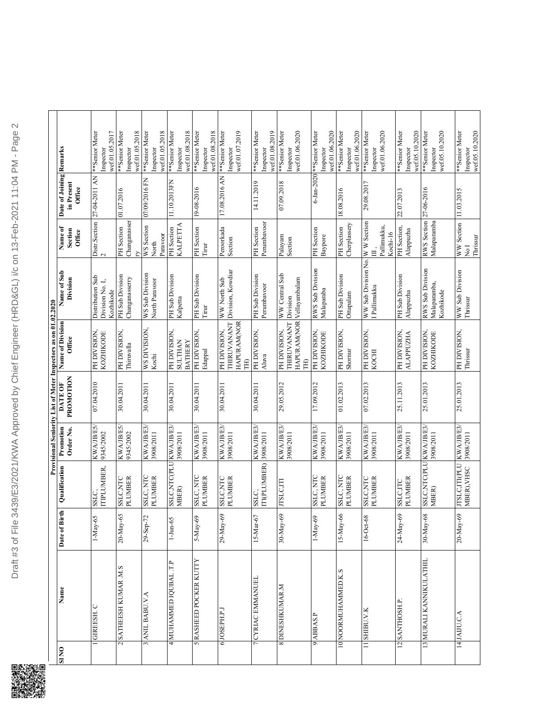|             |                                                |                |                                      |                         |            | Provisional Seniority List of Meter Inspectors as on 01.02.2020 |                                                  |                                                      |                         |                                               |
|-------------|------------------------------------------------|----------------|--------------------------------------|-------------------------|------------|-----------------------------------------------------------------|--------------------------------------------------|------------------------------------------------------|-------------------------|-----------------------------------------------|
| <b>ONIS</b> | Name                                           | Date of Birth  | Qualification                        | Promotion               | DATE OF    | Name of Division                                                | Name of Sub                                      | Name of                                              | Date of Joining Remarks |                                               |
|             |                                                |                |                                      | Order No.               | PROMOTION  | Office                                                          | Division                                         | Section<br>Office                                    | in Present<br>Office    |                                               |
|             | GIREESH. C                                     | $1-May-65$     | <b>ITIPLUMBER</b><br><b>SSLC</b>     | KWA/JB/E5/<br>9345/2002 | 07.04.2010 | PH DIVISION<br>KOZHIKODE                                        | Distribution Sub<br>Division No. I,<br>Kozhikode | $\frac{\text{Dist. Section}}{2}$                     | 27-04-2011 AN           | **Senior Meter<br>wef.01.05.2017<br>Inspector |
|             | SATHEESH KUMAR .M.S<br>$\overline{\mathbf{c}}$ | 20-May-65      | PLUMBER<br><b>SSLC,NTC</b>           | KWA/JB/E5/<br>9345/2002 | 30.04.2011 | PH DIVISION<br><b>Thiruvalla</b>                                | PH Sub Division<br>Changanasserry                | Changanasser<br>PH Section<br>Ŋ                      | 01.07.2016              | **Senior Meter<br>wef.01.05.2018<br>Inspector |
|             | 3 ANIL BABU.V.A                                | 29-Sep-72      | SSLC, NTC<br>PLUMBER                 | KWA/JB/E3/<br>3908/2011 | 30.04.2011 | WS DIVISION<br>Kochi                                            | WS Sub Division<br>North Paravoor                | WS Section<br>Paravoor<br>North                      | 07/09/2016 FN           | wef.01.05.2018<br>**Senior Meter<br>Inspector |
|             | <b>4 MUHAMMED IQUBAL .T.P</b>                  | $1-J$ un $-65$ | /EE/SILC/MX DTdlDLN/STSS<br>MBER)    | 3908/2011               | 30.04.2011 | PH DIVISION,<br><b>SULTHAN</b><br>BATHERY                       | PH Sub Division<br>Kalpetta                      | KALPETTA<br>PH Section                               | 11.10.2013FN            | wef.01.08.2018<br>**Senior Meter<br>Inspector |
|             | SRASHEED POCKER KUTTY                          | $5-May-69$     | SSLC, NTC<br>PLUMBER                 | KWA/JB/E3/<br>3908/2011 | 30.04.2011 | PH DIVISION,<br>Edappal                                         | PH Sub Division<br><b>Firur</b>                  | PH Section<br>Tirur                                  | 19-08-2016              | **Senior Meter<br>wef.01.08.2018<br>Inspector |
|             | 6JOSEPH.P.J                                    | 29-May-69      | <b>SSLC,NTC</b><br>PLUMBER           | KWA/JB/E3/<br>3908/2011 | 30.04.2011 | THIRUVANANT<br><b>HAPURAM(NOR</b><br>PH DIVISION,<br>Ê          | Division, Kowdiar<br>WW North Sub                | Peroorkada<br>Section                                | 17.08.2016 AN           | wef.01.07.2019<br>**Senior Meter<br>Inspector |
|             | TANNVNNA OVINAO                                | 15-Mar-67      | ITI(PLUMBER)<br>SSLC.                | KWA/JB/E3/<br>3908/2011 | 30.04.2011 | <b>PH DIVISION</b><br>Aluva                                     | PH Sub Division<br>Perumbavoor                   | Perumbavoor<br>PH Section                            | 14.11.2019              | **Senior Meter<br>wef.01.08.2019<br>Inspector |
|             | 8 DINESHKUMAR.M                                | 30-May-69      | <b>JTSLC,ITI</b>                     | KWA/JB/E3/<br>3908/2011 | 29.05.2012 | HAPURAM(NOR Vellayambalam<br>THIRUVANANT<br>PH DIVISION,<br>冝   | WW Central Sub<br>Division                       | Palayam<br>Section                                   | 07.09.2018              | wef.01.06.2020<br>**Senior Meter<br>Inspector |
|             | 9 ABBAS.P                                      | $1-May-69$     | SSLC, NTC<br>PLUMBER                 | KWA/JB/E3/<br>3908/2011 | 17.09.2012 | PH DIVISION,<br><b>KOZHIKODE</b>                                | RWS Sub Division<br>Malaparaba                   | PH Section<br>Baypore                                | 6-Jan-2020              | **Senior Meter<br>wef.01.06.2020<br>Inspector |
|             | S' S' CIEIVIVYHI IN NOON                       | $15-May-66$    | SSLC, NTC<br>PLUMBER                 | 1107/806<br>808/2011    | 01.02.2013 | <b>NOISIAIG Hd</b><br>Shomur                                    | PH Sub Division<br>Ottapalam                     | Cherplassery<br>PH Section                           | 18.08.2016              | wef.01.06.2020<br>**Senior Meter<br>Inspector |
|             | <b>SHIBU.V.K</b><br>$\equiv$                   | $16-Oct-68$    | SSLC,NTC<br>PLUMBER                  | KWA/JB/E3/<br>3908/2011 | 07.02.2013 | PH DIVISION,<br>KOCHI                                           | WW Sub Division No.<br>I Pallimukku              | W W Section<br>Pallimukku,<br>Kochi-16               | 29.08.2017              | wef.01.06.2020<br>**Senior Meter<br>Inspector |
|             | <b>SANTHOSH.P.</b><br>12                       | 24-May-69      | PLUMBER<br><b>SSLC, ITC</b>          | KWA/JB/E3/<br>3908/2011 | 25.11.2013 | NOISIAIG Hd<br><b>ALAPPUZHA</b>                                 | PH Sub Division<br>Alappuzha                     | PH Section,<br>Alappuzha                             | 22.07.2013              | wef.05.10.2020<br>**Senior Meter<br>Inspector |
|             | MURALI KANNIKULATHIL<br>$\overline{13}$        | 30-May-68      | SSLC, NTC(PLU<br>MBER)               | KWA/JB/E3/<br>3908/2011 | 25.01.2013 | <b>PH DIVISION</b><br>KOZHIKODE                                 | RWS Sub Division<br>Malaparamba,<br>Kozhikode    | RWS Section<br>Malaparamba                           | 27-06-2016              | wef.05.10.2020<br>**Senior Meter<br>Inspector |
|             | 14 JAIJU.C.A                                   | 20-May-69      | <b>JTSLC, ITI(PLU</b><br>MBER), VHSC | KWA/JB/E3/<br>3908/2011 | 25.01.2013 | PH DIVISION,<br>Thrissur                                        | WW Sub Division<br>Thrissur                      | WW Section  11.03.2015<br>Thrissur<br>$\overline{N}$ |                         | wef.05.10.2020<br>**Senior Meter<br>Inspector |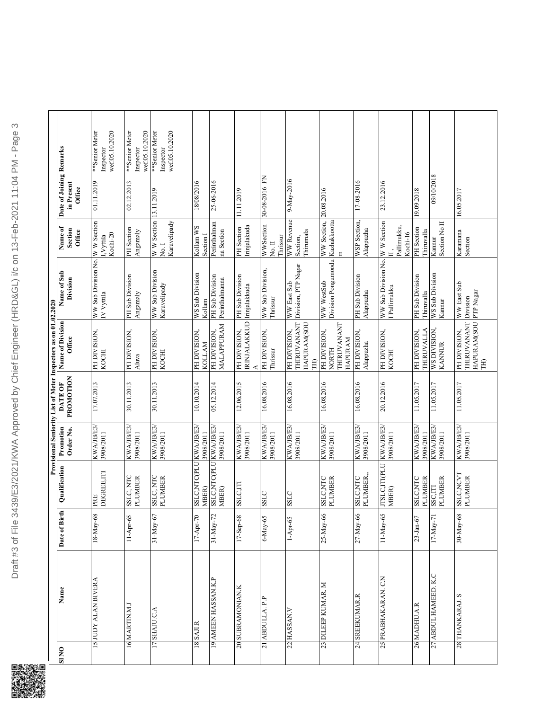| Provisional Seniority List of Meter Inspectors as on 01.02.2020 | Date of Joining Remarks<br>in Present<br>Office<br>Name of<br>Section<br>Office<br>Name of Sub<br>Division<br>Name of Division<br>Office<br>PROMOTION<br>DATE OF<br>Promotion<br>Order No.<br>Qualification<br>Date of Birth | wef.05.10.2020<br>**Senior Meter<br>Inspector<br>01.11.2019<br>WW Sub Division No. W W Section<br>Kochi-20<br>I, Vyttila<br>IV Vyttila<br>PH DIVISION,<br>KOCHI<br>17.07.2013<br>KWA/JB/E3/<br>3908/2011<br><b>DEGREE,ITI</b><br>PRE<br>18-May-68 | wef.05.10.2020<br>**Senior Meter<br>Inspector<br>02.12.2013<br>PH Section<br>Angamaly<br>PH Sub Division<br>Angamaly<br>PH DIVISION,<br>Aluva<br>30.11.2013<br>KWA/JB/E3/<br>3908/2011<br>SSLC, NTC<br>PLUMBER<br>11-Apr-65 | wef.05.10.2020<br>**Senior Meter<br>Inspector<br>W W Section 13.11.2019<br>Karuvelipady<br>No.1<br>WW Sub Division<br>Karuvelipady<br>PH DIVISION,<br>KOCHI<br>30.11.2013<br>KWA/JB/E3/<br>3908/2011<br>SSLC, NTC<br>PLUMBER<br>31-May-67 | 18/08/2016<br>Kollam WS<br>Section I<br>WS Sub Division<br>Kollam<br>PH DIVISION,<br>KOLLAM<br>10.10.2014<br>SSLC, NTC(PLU KWA/JB/E3/<br>3908/2011<br>MBER)<br>17-Apr-70 | 25-06-2016<br>Perinthalman<br>na Section<br>PH Sub Division<br>Perinthalmanna<br>MALAPPURAM<br>PH DIVISION<br>05.12.2014<br>SSLC, NTC(PLU KWA/JB/E3/<br>3908/2011<br>MBER)<br>31-May-72 | 11.11.2019<br>Irinjalakuda<br>PH Section<br>PH Sub Division<br>IRINJALAKKUD Irinjalakkuda<br>PH DIVISION,<br>12.06.2015<br>KWA/JB/E3/<br>3908/2011<br>SSLC,ITI<br>17-Sep-68 | 30-08-2016 FN<br>WWSection<br>Thrissur<br>No. II<br>WW Sub Division,<br>Thrissur<br>PH DIVISION,<br>Thrissur<br>16.08.2016<br>KWA/JB/E3/<br>3908/2011<br><b>SSLC</b><br>6-May-65 | 9-May-2016<br>WW Revenue<br>Thirumala<br>Section,<br>Division, PTP Nagar<br>WW East Sub<br>THIRUVANANT<br><b>HAPURAM(SOU</b><br>PH DIVISION,<br>Ê<br>16.08.2016<br>KWA/JB/E3/<br>3908/2011<br><b>CTSS</b><br>$1-Apr-65$ | 20.08.2016<br>WW Section,<br>Division Pongumoodu Kazhakkootta<br>$\mathbf{E}$<br>WW WestSub<br>THIRUVANANT<br>PH DIVISION,<br><b>HAPURAM</b><br>NORTH<br>16.08.2016<br>KWA/JB/E3/<br>3908/2011<br>SEC, NTC<br>PLUMBER<br>25-May-66 | 17-08-2016<br>WSP Section,<br>Alappuzha<br>PH Sub Division<br>Alappuzha<br>PH DIVISION,<br>Alappuzha<br>16.08.2016<br>KWA/JB/E3/<br>3908/2011<br>PLUMBER,<br><b>SECNTC</b><br>27-May-66 | 23.12.2016<br>W W Section<br>Pallimukku,<br>Kochi-16<br>$\equiv$<br>WW Sub Division No.<br>I Pallimukku<br>PH DIVISION,<br>KOCHI<br>20.12.2016<br>KWA/JB/E3/<br>3908/2011<br><b>JTSLC, ITI(PLU</b><br>MBER)<br>11-May-65 | 19.09.2018<br>PH Section<br>Thiruvalla<br>PH Sub Division<br>Thiruvalla<br>THIRUVALLA<br>PH DIVISION,<br>11.05.2017<br>KWA/JB/E3/<br>3908/2011<br>PLUMBER<br>SSLC, NTC<br>23-Jan-67 | 09/10/2018<br>Section No <sub>II</sub><br>Kannur<br>WS Sub Division<br>Kannur<br>WS DIVISION<br><b>KANNUR</b><br>11.05.2017<br>KWA/BE3<br>3908/2011<br>PLUMBER<br><b>SSC,ITI</b><br>17-May-71 | 16.05.2017<br>Karamana<br>Section<br>WW East Sub<br>HAPURAM(SOU PTP Nagar<br>Division<br>THIRUVANANT<br>PH DIVISION,<br>11.05.2017<br>KWA/JB/E3/<br>3908/2011<br><b>SSLC, NCVT</b><br>PLUMBER<br>30-May-68 |
|-----------------------------------------------------------------|------------------------------------------------------------------------------------------------------------------------------------------------------------------------------------------------------------------------------|---------------------------------------------------------------------------------------------------------------------------------------------------------------------------------------------------------------------------------------------------|-----------------------------------------------------------------------------------------------------------------------------------------------------------------------------------------------------------------------------|-------------------------------------------------------------------------------------------------------------------------------------------------------------------------------------------------------------------------------------------|--------------------------------------------------------------------------------------------------------------------------------------------------------------------------|-----------------------------------------------------------------------------------------------------------------------------------------------------------------------------------------|-----------------------------------------------------------------------------------------------------------------------------------------------------------------------------|----------------------------------------------------------------------------------------------------------------------------------------------------------------------------------|-------------------------------------------------------------------------------------------------------------------------------------------------------------------------------------------------------------------------|------------------------------------------------------------------------------------------------------------------------------------------------------------------------------------------------------------------------------------|-----------------------------------------------------------------------------------------------------------------------------------------------------------------------------------------|--------------------------------------------------------------------------------------------------------------------------------------------------------------------------------------------------------------------------|-------------------------------------------------------------------------------------------------------------------------------------------------------------------------------------|-----------------------------------------------------------------------------------------------------------------------------------------------------------------------------------------------|------------------------------------------------------------------------------------------------------------------------------------------------------------------------------------------------------------|
|                                                                 |                                                                                                                                                                                                                              |                                                                                                                                                                                                                                                   |                                                                                                                                                                                                                             |                                                                                                                                                                                                                                           |                                                                                                                                                                          |                                                                                                                                                                                         |                                                                                                                                                                             |                                                                                                                                                                                  |                                                                                                                                                                                                                         |                                                                                                                                                                                                                                    |                                                                                                                                                                                         |                                                                                                                                                                                                                          |                                                                                                                                                                                     |                                                                                                                                                                                               |                                                                                                                                                                                                            |
|                                                                 | Name<br><b>ONIS</b>                                                                                                                                                                                                          | <b>IS JUDY ALAN BIVERA</b>                                                                                                                                                                                                                        | LN.NITRAM 91                                                                                                                                                                                                                | <b>TTSHAJU.C.A</b>                                                                                                                                                                                                                        | 18 SAJLR                                                                                                                                                                 | 19 AMEEN HASSAN.K.P                                                                                                                                                                     | 20 SUBRAMONIAN.K                                                                                                                                                            | 21 ABDULLA, P.P                                                                                                                                                                  | 22 HASSAN.V                                                                                                                                                                                                             | 23 DILEEP KUMAR. M                                                                                                                                                                                                                 | 24 SREEKUMAR.R                                                                                                                                                                          | 25 PRABHAKARAN. C.N                                                                                                                                                                                                      | 26MADHU.A.R                                                                                                                                                                         | 27 ABDUL HAMEED. K.C                                                                                                                                                                          | 28 THANKARAJ. S                                                                                                                                                                                            |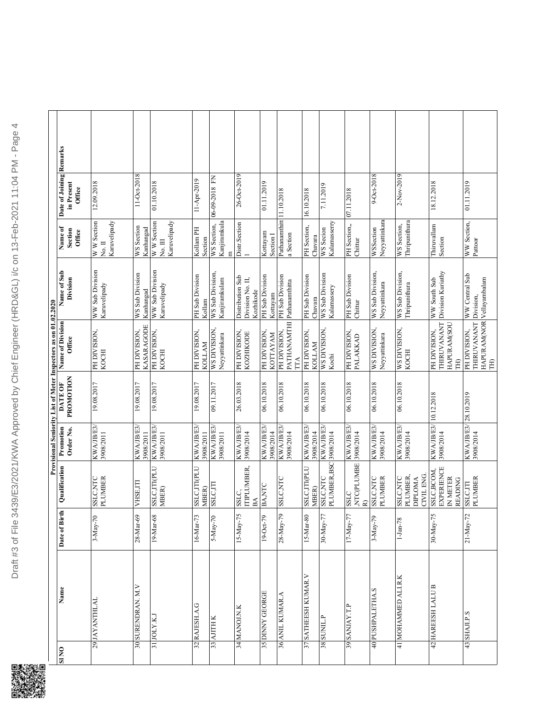|                                                                 | Date of Joining Remarks<br>in Present<br>Office | 12.09.2018                            | 11-Oct-2018                  | 01.10.2018                             | 11-Apr-2019               | NH 810Z-60-90                     | 26-Oct-2019                                       | 01.11.2019                     | 11.10.2018                            | 16.10.2018                    | 7.11.2019                      | 07.11.2018                                       | 9-Oct-2018                        | 2-Nov-2019                                                   | 18.12.2018                                                     | 01.11.2019                                                           |
|-----------------------------------------------------------------|-------------------------------------------------|---------------------------------------|------------------------------|----------------------------------------|---------------------------|-----------------------------------|---------------------------------------------------|--------------------------------|---------------------------------------|-------------------------------|--------------------------------|--------------------------------------------------|-----------------------------------|--------------------------------------------------------------|----------------------------------------------------------------|----------------------------------------------------------------------|
|                                                                 | Name of<br>Section<br>Office                    | W W Section<br>Karuvelipady<br>No. II | WS Section<br>Kanhangad      | W W Section<br>Karuvelipady<br>No. III | Kollam PH<br>Section      | Kanjiramkula<br>WS Section,<br>Ξ  | Distr.Section                                     | Kottayam<br>Section I          | Pathanamthitt<br>a Section            | PH Section,<br>Chavara        | Kalamasserry<br>WS Secion      | PH Section,<br>Chittur                           | Neyyattinkara<br>WSSection        | Thripunithura<br>WS Section,                                 | Thiruvallam<br>Section                                         | WW Section,<br>Pattoor                                               |
|                                                                 | Name of Sub<br>Division                         | WW Sub Division<br>Karuvelipady       | WS Sub Division<br>Kanhangad | WW Sub Division<br>Karuvelipady        | PH Sub Division<br>Kollam | WS Sub Division,<br>Kanjiramkulam | Distribution Sub<br>Division No. II,<br>Kozhikode | PH Sub Division<br>Kottayam    | PH Sub Division<br>Pathanamthitta     | PH Sub Division<br>Chavara    | WS Sub Division<br>Kalamassery | PH Sub Division<br>Chittur                       | WS Sub Division,<br>Neyyattinkara | WS Sub Division,<br>Thripunithura                            | Division Kuriathy<br>WW South Sub                              | WW Central Sub<br>Division,                                          |
| Provisional Seniority List of Meter Inspectors as on 01.02.2020 | Name of Division<br>Office                      | PH DIVISION,<br>KOCHI                 | KASARAGODE<br>PH DIVISION,   | PH DIVISION,<br>KOCHI                  | PH DIVISION,<br>KOLLAM    | WS DIVISION<br>Neyyattinkara      | PH DIVISION,<br>KOZHIKODE                         | PH DIVISION<br><b>KOTTAYAM</b> | <b>PATHANAMTH</b><br>PH DIVISION<br>Ě | PH DIVISION,<br>KOLLAM        | <b>WS DIVISION</b><br>Kochi    | PH DIVISION,<br><b>PALAKKAD</b>                  | WS DIVISION,<br>Neyyattinkara     | WS DIVISION,<br>KOCHI                                        | THIRUVANANT<br>HAPURAM(SOU<br>PH DIVISION,<br>Ê                | HAPURAM(NOR Vellayambalam<br><b>THIRUVANANT</b><br>PH DIVISION,<br>Ē |
|                                                                 | PROMOTION<br><b>DATE OF</b>                     | 19.08.2017                            | 19.08.2017                   | 19.08.2017                             | 19.08.2017                | 09.11.2017                        | 26.03.2018                                        | 06.10.2018                     | 06.10.2018                            | 06.10.2018                    | 06.10.2018                     | 06.10.2018                                       | 06.10.2018                        | 06.10.2018                                                   | 10.12.2018                                                     |                                                                      |
|                                                                 | Promotion<br>Order No.                          | KWA/JB/E3/<br>3908/2011               | KWA/JB/E3/<br>3908/2011      | KWA/JB/E3/<br>3908/2011                | KWA/JB/E3/<br>3908/2011   | KWA/JB/E3/<br>3908/2011           | KWA/JB/E3/<br>3908/2014                           | KWA/JB/E3/<br>3908/2014        | KWA/JB/E3/<br>3908/2014               | KWA/JB/E3/<br>3908/2014       | KWA/JB/E3/<br>3908/2014        | KWA/JB/E3/<br>3908/2014                          | KWA/JB/E3/<br>3908/2014           | KWA/JB/E3/<br>3908/2014                                      | KWA/JB/E3/<br>3908/2014                                        | KWA/JB/E3/28.10.2019<br>3908/2014                                    |
|                                                                 | Qualification                                   | SSLC,NTC<br>PLUMBER                   | VHSE, ITI                    | SSLC, ITI(PLU<br>MBER)                 | SSLC, ITI(PLU<br>MBER)    | SSLC,ITI                          | ITIPLUMBER,<br>SSLC.<br>$B\Lambda$                | BA,NTC                         | SSLC, NTC                             | <b>SSLC, ITI(PLU</b><br>MBER) | PLUMBER, BSC<br>SSLC,NTC       | NTC(PLUMBE<br><b>SSLC</b><br>$\widehat{\approx}$ | <b>SSLC,NTC</b><br>PLUMBER        | CIVIL ENG.<br>PLUMBER,<br><b>SSLC, NTC</b><br><b>DIPLOMA</b> | <b>EXPERIENCE</b><br>SSLC, BCOM,<br><b>IN METER</b><br>READING | PLUMBER<br>SSLC,ITI                                                  |
|                                                                 | Date of Birth                                   | $3-May-70$                            | 28-Mar-69                    | 19-Mar-68                              | 16-Mar-73                 | 5-May-70                          | 15-May-75                                         | 19-Oct-79                      | 28-May-79                             | 15-Mar-80                     | 30-May-77                      | 17-May-77                                        | 3-May-79                          | $1 - Jan - 78$                                               | 30-May-75                                                      | 21-May-72                                                            |
|                                                                 | Name                                            | 29 JAYANTHLAL                         | 30 SURENDRAN. M.V            | 31 JOLY K.J                            | 32 RAJESH A.G             | 33 AJITH K                        | 34 MANOJ.N.K                                      | 35 DINNY GEORGE                | 36 ANIL KUMAR.A                       | 37 SATHEESH KUMAR.V           | 38 SUNIL P                     | 39 SANJAY.T.P                                    | 40 PUSHPALETHA.S                  | <b>41 NOHAMMED ALLE K</b>                                    | <b>EL TELESTE DE LA LOB</b>                                    | <b>S' dTVHS</b> EF                                                   |
|                                                                 | <b>ONIS</b>                                     |                                       |                              |                                        |                           |                                   |                                                   |                                |                                       |                               |                                |                                                  |                                   |                                                              |                                                                |                                                                      |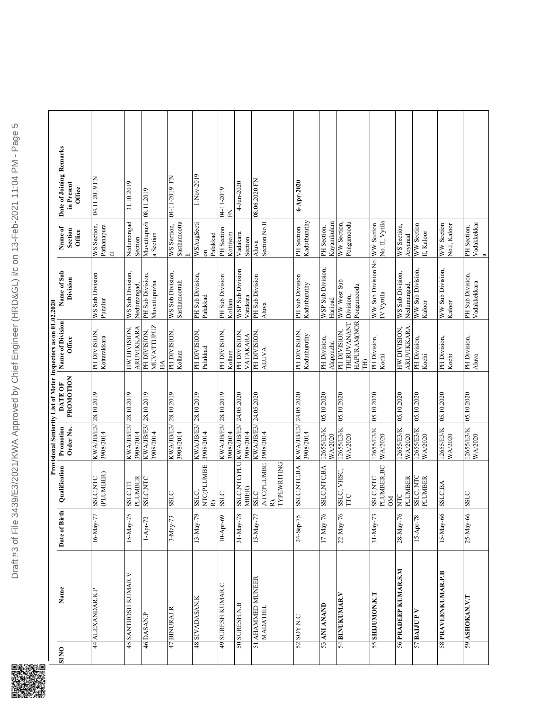| Name<br><b>SLNO</b>                       | Date of Birth | Qualification                                         | Promotion                          | Provisional Seniority List of Meter Inspectors as on 01.02.2020<br><b>DATE OF</b> | Name of Division                                                 | Name of Sub                                  | Name of                                    |                                                        |  |
|-------------------------------------------|---------------|-------------------------------------------------------|------------------------------------|-----------------------------------------------------------------------------------|------------------------------------------------------------------|----------------------------------------------|--------------------------------------------|--------------------------------------------------------|--|
|                                           |               |                                                       | Order No.                          | PROMOTION                                                                         | Office                                                           | Division                                     | Section<br>Office                          | Date of Joining Remarks<br>in Present<br><b>Office</b> |  |
| 44 ALEXANDAR.K.P                          | 16-May-77     | (PLUMBER)<br><b>SSLC,NTC</b>                          | KWA/JB/E3/28.10.2019<br>3908/2014  |                                                                                   | PH DIVISION,<br>Kottarakkara                                     | WS Sub Division<br>Punalur                   | WS Section,<br>Pathanapura<br>$\mathbf{E}$ | 04.11.2019 FN                                          |  |
| 45 SANTHOSH KUMAR.V                       | 15-May-75     | PLUMBER<br><b>SSLC.ITI</b>                            | KWA/JB/E3/<br>3908/2014            | 28.10.2019                                                                        | <b>ARUVIKKARA</b><br>HW DIVISION,                                | WS Sub Division,<br>Nedumangad,              | Nedumangad<br>Section                      | 31.10.2019                                             |  |
| <b>TNSAD</b>                              | $1-Apr-72$    | SSLC, NTC                                             | KWA/JB/E3/<br>3908/2014            | $28.10\overline{2019}$                                                            | <b>MUVATTUPUZ</b><br>PH DIVISION,<br>É                           | PH Sub Division,<br>Muvattupuzha             | Muvattupuzh<br>a Section                   | 610711'80                                              |  |
| 47 BINURAJ.R                              | 3-May-73      | <b>OTSS</b>                                           | KWA/JB/E3/28.10.2019<br>3908/2014  |                                                                                   | PH DIVISION,<br>Kollam                                           | WS Sub Division,<br>Sasthamcottah            | Sasthamcotta<br>WS Section,                | NH 6107-11-70                                          |  |
| 48 SIVADASAN.K                            | 13-May-79     | <b>NTC(PLUMBE</b><br>SSLC,<br>$\widehat{\mathbf{z}}$  | KWA/JB/E3/28.10.2019<br>3908/2014  |                                                                                   | PH DIVISION,<br>Palakkad                                         | PH Sub Division,<br>Palakkad                 | WSAugSecti<br>Palakkad<br>$\sin$           | 1-Nov-2019                                             |  |
| <b>3) SURESH KUMAR C</b>                  | 10-Apr-69     | <b>SSLC</b>                                           | KWA/JB/E3/<br>3908/2014            | 28.10.2019                                                                        | PH DIVISION,<br>Kollam                                           | PH Sub Division<br>Kollam                    | <b>PH</b> Section<br>Kottiyam              | 04-11-2019<br>K                                        |  |
| <b>SURESHINE</b>                          | 31-May-78     | SSLC, NTC(PLU<br>MBER)                                | KWA/JB/E3/<br>3908/2014            | 24.05.2020                                                                        | PH DIVISION<br>VATAKARA                                          | WSP Sub Division<br>Vatakara                 | Vadakara<br>Section                        | 4-Jun-2020                                             |  |
| 51 AHAMMED MUNEER<br>MADATHIL             | 15-May-77     | NTC(PLUMBE<br><b>LABEWRITING</b><br><b>SSLC</b><br>ଛି | KWA/JB/E3/<br>3908/2014            | 24.05.2020                                                                        | <b>PH DIVISION</b><br><b>ALUVA</b>                               | PH Sub Division<br>Aluva                     | Section No <sub>II</sub><br>Aluva          | 08.06.2020 FN                                          |  |
| 52SOYN.C                                  | 24-Sep-75     | <b>SSLC, NTC, BA</b>                                  | KWA/JB/E3/ 24.05.2020<br>3908/2014 |                                                                                   | PH DIVISION,<br>Kaduthuruthy                                     | PH Sub Division<br>Kaduthuruthy              | Kaduthuruthy<br>PH Section                 | 6-Apr-2020                                             |  |
| <b>GINYNY INY ISS</b>                     | 17-May-76     | SSLC, NTC, BA                                         | 12655/E3/K<br>WA/2020              | 05.10.2020                                                                        | PH Division,<br>Alappuzha                                        | WSP Sub Division,<br>Haripad                 | Kayamkulam<br>PH Section,                  |                                                        |  |
| 54 BINUKUMAR.V                            | 22-May-76     | SSLC, VHSC<br>TTC                                     | 12655/E3/K<br>WA/2020              | 05.102020                                                                         | HAPURAM(NOR Pongumoodu<br><b>THIRUVANANT</b><br>PH DIVISION<br>Ê | WW West Sub<br>Division,                     | Pongumoodu<br>WW Section,                  |                                                        |  |
| <b>SSSEIJUMON.K.T</b>                     | 31-May-73     | PLUMBER, BC<br><b>SSLC,NTC</b><br>$\mathbb{N}$        | 12655/E3/K<br>WA/2020              | 05.102020                                                                         | PH Division,<br>Kochi                                            | WW Sub Division No. WW Section<br>IV Vyttila | No. II, Vytila                             |                                                        |  |
| <b>NTS'NYMDA HAGYNAS</b>                  | 28-May-76     | PLUMBER<br>NTC                                        | 12655/E3/K<br>WA/2020              | 05.10.2020                                                                        | <b>ARUVIKKARA</b><br>HW DIVISION,                                | WS Sub Division,<br>Nedumangad,              | WS Section,<br>Aryanad                     |                                                        |  |
| $\frac{1}{\sqrt{2}}$ $\frac{1}{\sqrt{2}}$ | $15-Apr-78$   | SSLC, NTC<br>PLUMBER                                  | 12655/E3/K<br>WA/2020              | 05.10.2020                                                                        | PH Division,<br>Kochi                                            | WW Sub Division,<br>Kaloor                   | WW Section<br>II, Kaloor                   |                                                        |  |
| 58 PRAVEENKUMAR.P.B                       | $15-May-66$   | <b>SSLC, BA</b>                                       | 12655/E3/K<br>WA/2020              | 05.10.2020                                                                        | PH Division,<br>Kochi                                            | WW Sub Division,<br>Kaloor                   | WW Section<br>No.I, Kaloor                 |                                                        |  |
| <b>L'A'NYMOHSV 6S</b>                     | 25-May-66     | <b>SISS</b>                                           | 12655/E3/K<br>WA/2020              | 05.10.2020                                                                        | PH Division,<br>Aluva                                            | PH Sub Division,<br>Vadakkekkara             | Vadakkekkar<br>PH Section,<br>ಡ            |                                                        |  |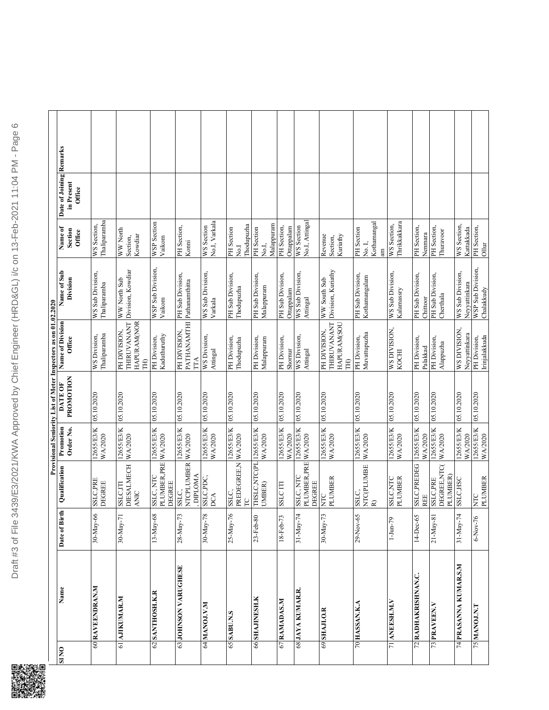|             |                                |                  |                                                      |                        | Provisional Seniority List of Meter Inspectors as on 01.02.2020 |                                                        |                                    |                                            |                                                        |  |
|-------------|--------------------------------|------------------|------------------------------------------------------|------------------------|-----------------------------------------------------------------|--------------------------------------------------------|------------------------------------|--------------------------------------------|--------------------------------------------------------|--|
| <b>ONIS</b> | Name                           | Date of Birth    | Qualification                                        | Promotion<br>Order No. | PROMOTION<br><b>DATE OF</b>                                     | Name of Division<br>Office                             | Name of Sub<br>Division            | Name of<br>Section<br>Office               | Date of Joining Remarks<br>in Present<br><b>Office</b> |  |
|             | 60 RAVEENDRAN.M                | 30-May-66        | <b>SSLC,PRE</b><br><b>DEGREE</b>                     | 12655/E3/K<br>WA/2020  | 05.10.2020                                                      | Thaliparamba<br>WS Division,                           | WS Sub Division,<br>Thaliparamba   | Thaliparamba<br>WS Section,                |                                                        |  |
|             | 61 AJIKUMAR.M                  | 30-May-71        | <b>DIESALMECH</b><br><b>SSLC,ITI</b><br><b>ANIC</b>  | 12655/E3/K<br>WA/2020  | 05.102020                                                       | THIRUVANANT<br><b>HAPURAM(NOR</b><br>PH DIVISION,<br>Ê | Division, Kowdiar<br>WW North Sub  | WW North<br>Section,<br>Kowdiar            |                                                        |  |
|             | 62 SANTHOSH.K.R                | 13-May-68        | PLUMBER, PRE WA/2020<br>SSLC, NTC<br><b>DEGREE</b>   | 12655/E3/K             | 05.10.2020                                                      | Kaduthuruthy<br>PH Division,                           | WSP Sub Division,<br>Vaikom        | WSP Section<br>Vaikom                      |                                                        |  |
|             | <b>ASSIED DAVA NOSMEDI [99</b> | 28-May-73        | NTCPLUMBER<br>, DIPLOMA<br>SSLC,                     | 12655/E3/K<br>WA/2020  | 05.102020                                                       | <b>PATHANAMTH</b><br>PH DIVISION,<br>ÉÁ                | PH Sub Division,<br>Pathanamthitta | PH Section,<br>Konni                       |                                                        |  |
|             | <b>WATONAM</b>                 | 30-May-78        | SSLC,PDC,<br><b>DCA</b>                              | 1265S/E3/K<br>WA/2020  | 020201.80                                                       | WS Division,<br>Attingal                               | WS Sub Division,<br>Varkala        | No.I, Varkala<br>WS Section                |                                                        |  |
| 65          | <b>SABU.N.S</b>                | 25-May-76        | PREDEGREE,NWA/2020<br>SSLC,<br>P                     | 12655/E3/K             | 05.10.2020                                                      | PH Division,<br>Thodupuzha                             | PH Sub Division,<br>Thodupuzha     | Thodupuzha<br>PH Section<br>$\overline{N}$ |                                                        |  |
|             | 66 SHAJINESH.K                 | 23-Feb-80        | THSLC, NTC(PL<br>UMBER)                              | 12655/E3/K<br>WA/2020  | 05.10.2020                                                      | PH Division,<br>Malappuram                             | PH Sub Division,<br>Malappuram     | Malappuram<br><b>PH</b> Section<br>No.I,   |                                                        |  |
|             | 67 RAMADAS.M                   | 18-Feb-73        | <b>SSLCITI</b>                                       | 12655F3/K<br>WA/2020   | 05.10.2020                                                      | PH Division,<br>Shomur                                 | PH Sub Division,<br>Ottappalam     | PH Section,<br>Ottappalam                  |                                                        |  |
|             | 68 JAYA KUMAR.R.               | 31-May-74        | PLUMBER, PRE<br>SSLC, NTC<br>DEGREE                  | 12655/E3/K<br>WA/2020  | 05.10.2020                                                      | WS Division,<br>Attingal                               | WS Sub Division,<br>Attingal       | No.I, Attingal<br>WS Section               |                                                        |  |
|             | 69 SHAJI.O.R                   | 30-May-73        | PLUMBER<br>NTC                                       | 12655/E3/K<br>WA/2020  | 020201.80                                                       | THIRUVANANT<br>HAPURAM(SOU<br>PH DIVISION,<br>Ê        | Division, Kuriathy<br>WW South Sub | Kuriathy<br>Revenue<br>Section,            |                                                        |  |
|             | 70 HASSAN.K.A                  | 29-Nov-65        | <b>NTC(PLUMBE</b><br>SSLC,<br>$\widehat{\mathbf{z}}$ | 12655/E3/K<br>WA/2020  | 05.10.2020                                                      | Muvatupuzha<br>PH Division,                            | PH Sub Division,<br>Kothamangalam  | Kothamangal<br>PH Section<br>No. I,<br>am  |                                                        |  |
|             | <b>ZINEESH.N.V</b>             | $1 - J$ un $-79$ | SSLC, NTC<br>PLUMBER                                 | 12655/E3/K<br>WA/2020  | 05.10.2020                                                      | WS DIVISION,<br>KOCHI                                  | WS Sub Division,<br>Kalamassry     | Thrikkakkara<br>WS Section,                |                                                        |  |
|             | 72 RADHAKRISHNAN.C.            | 14-Dec-65        | SSLC, PREDEG<br><b>REE</b>                           | 12655/E3/K<br>WA/2020  | 05.10.2020                                                      | PH Division,<br>Palakkad                               | PH Sub Division,<br>Chittoor       | PH Section,<br>Nenmara                     |                                                        |  |
|             | 73 PRAVEEN.V                   | 21-May-81        | DEGREE, NTC<br>PLUMBER)<br><b>SSLC,PRE</b>           | 12655/E3/K<br>WA/2020  | 05.10.2020                                                      | PH Division,<br>Alappuzha                              | PH Sub Division,<br>Cherthala      | PH Section,<br>Thuravoor                   |                                                        |  |
|             | 74 PRASANNA KUMAR.S.M          | 31-May-74        | <b>SEC, SEC</b>                                      | 12655FBJK<br>WA/2020   | 05.10.2020                                                      | NOISIAIG SM<br>Neyyattinkara                           | WS Sub Division,<br>Neyyattinkara  | WS Section,<br>Kattakkada                  |                                                        |  |
|             | <b>T5 MANOJ.N.T</b>            | 6-Nov-76         | PLUMBER<br>NTC                                       | 12655/E3/K<br>WA/2020  | 05.10.2020                                                      | Irinjalakkuda<br>PH Division,                          | WSP Sub Division,<br>Chalakkudy    | PH Section,<br>Ollur                       |                                                        |  |